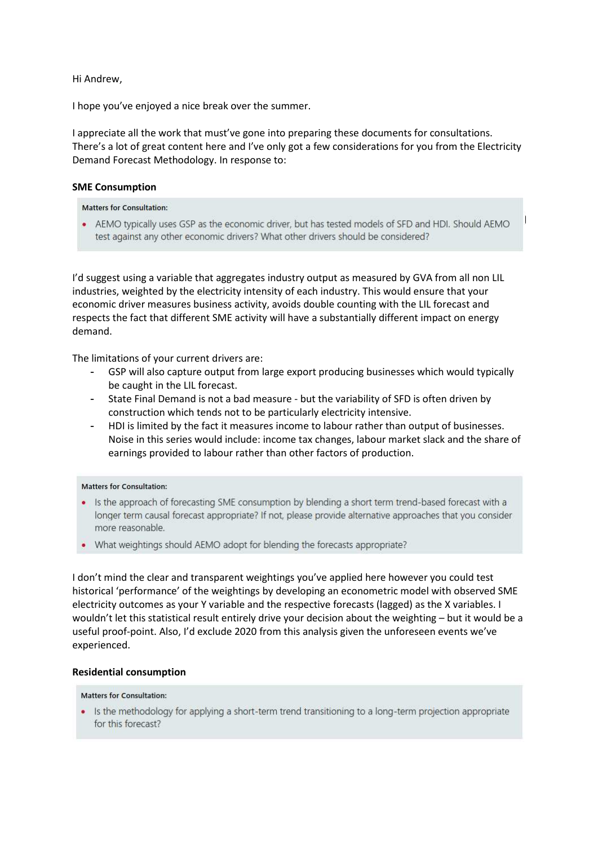Hi Andrew,

I hope you've enjoyed a nice break over the summer.

I appreciate all the work that must've gone into preparing these documents for consultations. There's a lot of great content here and I've only got a few considerations for you from the Electricity Demand Forecast Methodology. In response to:

# **SME Consumption**

**Matters for Consultation:** 

• AEMO typically uses GSP as the economic driver, but has tested models of SFD and HDI. Should AEMO test against any other economic drivers? What other drivers should be considered?

I'd suggest using a variable that aggregates industry output as measured by GVA from all non LIL industries, weighted by the electricity intensity of each industry. This would ensure that your economic driver measures business activity, avoids double counting with the LIL forecast and respects the fact that different SME activity will have a substantially different impact on energy demand.

The limitations of your current drivers are:

- GSP will also capture output from large export producing businesses which would typically be caught in the LIL forecast.
- State Final Demand is not a bad measure but the variability of SFD is often driven by construction which tends not to be particularly electricity intensive.
- HDI is limited by the fact it measures income to labour rather than output of businesses. Noise in this series would include: income tax changes, labour market slack and the share of earnings provided to labour rather than other factors of production.

## **Matters for Consultation:**

- Is the approach of forecasting SME consumption by blending a short term trend-based forecast with a longer term causal forecast appropriate? If not, please provide alternative approaches that you consider more reasonable.
- What weightings should AEMO adopt for blending the forecasts appropriate?

I don't mind the clear and transparent weightings you've applied here however you could test historical 'performance' of the weightings by developing an econometric model with observed SME electricity outcomes as your Y variable and the respective forecasts (lagged) as the X variables. I wouldn't let this statistical result entirely drive your decision about the weighting – but it would be a useful proof-point. Also, I'd exclude 2020 from this analysis given the unforeseen events we've experienced.

## **Residential consumption**

#### **Matters for Consultation:**

• Is the methodology for applying a short-term trend transitioning to a long-term projection appropriate for this forecast?